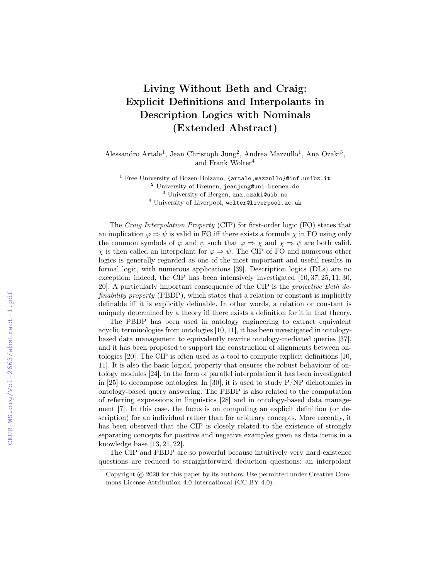## Living Without Beth and Craig: Explicit Definitions and Interpolants in Description Logics with Nominals (Extended Abstract)

Alessandro Artale<sup>1</sup>, Jean Christoph Jung<sup>2</sup>, Andrea Mazzullo<sup>1</sup>, Ana Ozaki<sup>3</sup>, and Frank Wolter<sup>4</sup>

<sup>1</sup> Free University of Bozen-Bolzano, {artale, mazzullo}@inf.unibz.it University of Bremen, jeanjung@uni-bremen.de University of Bergen, ana.ozaki@uib.no University of Liverpool, wolter@liverpool.ac.uk

The Craig Interpolation Property (CIP) for first-order logic (FO) states that an implication  $\varphi \Rightarrow \psi$  is valid in FO iff there exists a formula  $\chi$  in FO using only the common symbols of  $\varphi$  and  $\psi$  such that  $\varphi \Rightarrow \chi$  and  $\chi \Rightarrow \psi$  are both valid.  $\chi$  is then called an interpolant for  $\varphi \Rightarrow \psi$ . The CIP of FO and numerous other logics is generally regarded as one of the most important and useful results in formal logic, with numerous applications [39]. Description logics (DLs) are no exception; indeed, the CIP has been intensively investigated  $[10, 37, 25, 11, 30,$ 20]. A particularly important consequence of the CIP is the projective Beth definability property (PBDP), which states that a relation or constant is implicitly definable iff it is explicitly definable. In other words, a relation or constant is uniquely determined by a theory iff there exists a definition for it in that theory.

The PBDP has been used in ontology engineering to extract equivalent acyclic terminologies from ontologies [10, 11], it has been investigated in ontologybased data management to equivalently rewrite ontology-mediated queries [37], and it has been proposed to support the construction of alignments between ontologies [20]. The CIP is often used as a tool to compute explicit definitions [10, 11]. It is also the basic logical property that ensures the robust behaviour of ontology modules [24]. In the form of parallel interpolation it has been investigated in [25] to decompose ontologies. In [30], it is used to study  $P/NP$  dichotomies in ontology-based query answering. The PBDP is also related to the computation of referring expressions in linguistics [28] and in ontology-based data management [7]. In this case, the focus is on computing an explicit definition (or description) for an individual rather than for arbitrary concepts. More recently, it has been observed that the CIP is closely related to the existence of strongly separating concepts for positive and negative examples given as data items in a knowledge base [13, 21, 22].

The CIP and PBDP are so powerful because intuitively very hard existence questions are reduced to straightforward deduction questions: an interpolant

Copyright © 2020 for this paper by its authors. Use permitted under Creative Commons License Attribution 4.0 International (CC BY 4.0).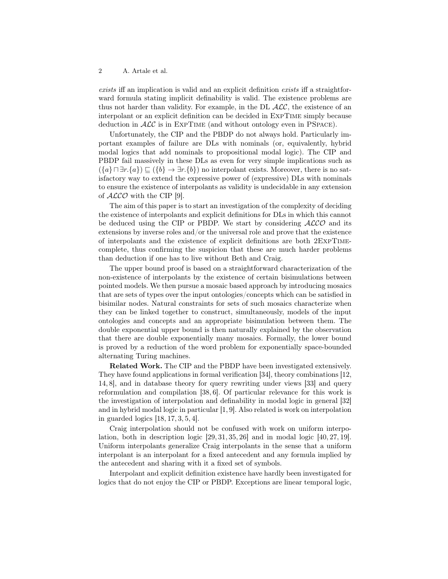## 2 A. Artale et al.

exists iff an implication is valid and an explicit definition exists iff a straightforward formula stating implicit definability is valid. The existence problems are thus not harder than validity. For example, in the DL  $\text{ALC}$ , the existence of an interpolant or an explicit definition can be decided in ExpTime simply because deduction in  $\text{ALC}$  is in EXPTIME (and without ontology even in PSPACE).

Unfortunately, the CIP and the PBDP do not always hold. Particularly important examples of failure are DLs with nominals (or, equivalently, hybrid modal logics that add nominals to propositional modal logic). The CIP and PBDP fail massively in these DLs as even for very simple implications such as  $(\{a\} \sqcap \exists r.\{a\}) \sqsubseteq (\{b\} \rightarrow \exists r.\{b\})$  no interpolant exists. Moreover, there is no satisfactory way to extend the expressive power of (expressive) DLs with nominals to ensure the existence of interpolants as validity is undecidable in any extension of  $ALCO$  with the CIP [9].

The aim of this paper is to start an investigation of the complexity of deciding the existence of interpolants and explicit definitions for DLs in which this cannot be deduced using the CIP or PBDP. We start by considering  $ALCO$  and its extensions by inverse roles and/or the universal role and prove that the existence of interpolants and the existence of explicit definitions are both 2ExpTimecomplete, thus confirming the suspicion that these are much harder problems than deduction if one has to live without Beth and Craig.

The upper bound proof is based on a straightforward characterization of the non-existence of interpolants by the existence of certain bisimulations between pointed models. We then pursue a mosaic based approach by introducing mosaics that are sets of types over the input ontologies/concepts which can be satisfied in bisimilar nodes. Natural constraints for sets of such mosaics characterize when they can be linked together to construct, simultaneously, models of the input ontologies and concepts and an appropriate bisimulation between them. The double exponential upper bound is then naturally explained by the observation that there are double exponentially many mosaics. Formally, the lower bound is proved by a reduction of the word problem for exponentially space-bounded alternating Turing machines.

Related Work. The CIP and the PBDP have been investigated extensively. They have found applications in formal verification [34], theory combinations [12, 14, 8], and in database theory for query rewriting under views [33] and query reformulation and compilation [38, 6]. Of particular relevance for this work is the investigation of interpolation and definability in modal logic in general [32] and in hybrid modal logic in particular [1, 9]. Also related is work on interpolation in guarded logics [18, 17, 3, 5, 4].

Craig interpolation should not be confused with work on uniform interpolation, both in description logic  $[29, 31, 35, 26]$  and in modal logic  $[40, 27, 19]$ . Uniform interpolants generalize Craig interpolants in the sense that a uniform interpolant is an interpolant for a fixed antecedent and any formula implied by the antecedent and sharing with it a fixed set of symbols.

Interpolant and explicit definition existence have hardly been investigated for logics that do not enjoy the CIP or PBDP. Exceptions are linear temporal logic,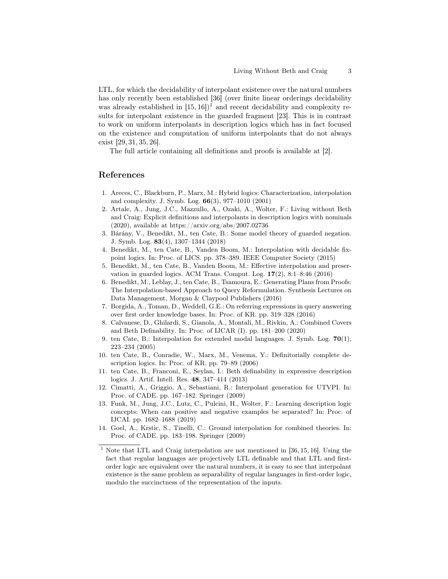LTL, for which the decidability of interpolant existence over the natural numbers has only recently been established [36] (over finite linear orderings decidability was already established in  $[15, 16]$ <sup>1</sup> and recent decidability and complexity results for interpolant existence in the guarded fragment [23]. This is in contrast to work on uniform interpolants in description logics which has in fact focused on the existence and computation of uniform interpolants that do not always exist [29, 31, 35, 26].

The full article containing all definitions and proofs is available at [2].

## References

- 1. Areces, C., Blackburn, P., Marx, M.: Hybrid logics: Characterization, interpolation and complexity. J. Symb. Log. 66(3), 977–1010 (2001)
- 2. Artale, A., Jung, J.C., Mazzullo, A., Ozaki, A., Wolter, F.: Living without Beth and Craig: Explicit definitions and interpolants in description logics with nominals (2020), available at https://arxiv.org/abs/2007.02736
- 3. Bárány, V., Benedikt, M., ten Cate, B.: Some model theory of guarded negation. J. Symb. Log. 83(4), 1307–1344 (2018)
- 4. Benedikt, M., ten Cate, B., Vanden Boom, M.: Interpolation with decidable fixpoint logics. In: Proc. of LICS. pp. 378–389. IEEE Computer Society (2015)
- 5. Benedikt, M., ten Cate, B., Vanden Boom, M.: Effective interpolation and preservation in guarded logics. ACM Trans. Comput. Log.  $17(2)$ ,  $8:1-8:46$  (2016)
- 6. Benedikt, M., Leblay, J., ten Cate, B., Tsamoura, E.: Generating Plans from Proofs: The Interpolation-based Approach to Query Reformulation. Synthesis Lectures on Data Management, Morgan & Claypool Publishers (2016)
- 7. Borgida, A., Toman, D., Weddell, G.E.: On referring expressions in query answering over first order knowledge bases. In: Proc. of KR. pp. 319–328 (2016)
- 8. Calvanese, D., Ghilardi, S., Gianola, A., Montali, M., Rivkin, A.: Combined Covers and Beth Definability. In: Proc. of IJCAR (I). pp. 181–200 (2020)
- 9. ten Cate, B.: Interpolation for extended modal languages. J. Symb. Log. 70(1), 223–234 (2005)
- 10. ten Cate, B., Conradie, W., Marx, M., Venema, Y.: Definitorially complete description logics. In: Proc. of KR. pp. 79–89 (2006)
- 11. ten Cate, B., Franconi, E., Seylan, I.: Beth definability in expressive description logics. J. Artif. Intell. Res. 48, 347–414 (2013)
- 12. Cimatti, A., Griggio, A., Sebastiani, R.: Interpolant generation for UTVPI. In: Proc. of CADE. pp. 167–182. Springer (2009)
- 13. Funk, M., Jung, J.C., Lutz, C., Pulcini, H., Wolter, F.: Learning description logic concepts: When can positive and negative examples be separated? In: Proc. of IJCAI. pp. 1682–1688 (2019)
- 14. Goel, A., Krstic, S., Tinelli, C.: Ground interpolation for combined theories. In: Proc. of CADE. pp. 183–198. Springer (2009)
- <sup>1</sup> Note that LTL and Craig interpolation are not mentioned in [36, 15, 16]. Using the fact that regular languages are projectively LTL definable and that LTL and firstorder logic are equivalent over the natural numbers, it is easy to see that interpolant existence is the same problem as separability of regular languages in first-order logic, modulo the succinctness of the representation of the inputs.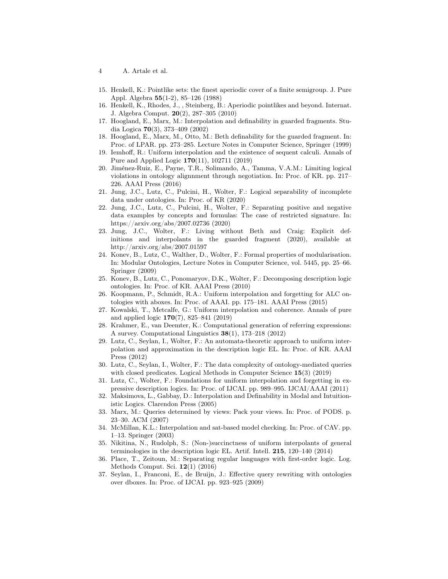- 4 A. Artale et al.
- 15. Henkell, K.: Pointlike sets: the finest aperiodic cover of a finite semigroup. J. Pure Appl. Algebra 55(1-2), 85–126 (1988)
- 16. Henkell, K., Rhodes, J., , Steinberg, B.: Aperiodic pointlikes and beyond. Internat. J. Algebra Comput. 20(2), 287–305 (2010)
- 17. Hoogland, E., Marx, M.: Interpolation and definability in guarded fragments. Studia Logica 70(3), 373–409 (2002)
- 18. Hoogland, E., Marx, M., Otto, M.: Beth definability for the guarded fragment. In: Proc. of LPAR. pp. 273–285. Lecture Notes in Computer Science, Springer (1999)
- 19. Iemhoff, R.: Uniform interpolation and the existence of sequent calculi. Annals of Pure and Applied Logic 170(11), 102711 (2019)
- 20. Jiménez-Ruiz, E., Payne, T.R., Solimando, A., Tamma, V.A.M.: Limiting logical violations in ontology alignnment through negotiation. In: Proc. of KR. pp. 217– 226. AAAI Press (2016)
- 21. Jung, J.C., Lutz, C., Pulcini, H., Wolter, F.: Logical separability of incomplete data under ontologies. In: Proc. of KR (2020)
- 22. Jung, J.C., Lutz, C., Pulcini, H., Wolter, F.: Separating positive and negative data examples by concepts and formulas: The case of restricted signature. In: https://arxiv.org/abs/2007.02736 (2020)
- 23. Jung, J.C., Wolter, F.: Living without Beth and Craig: Explicit definitions and interpolants in the guarded fragment (2020), available at http://arxiv.org/abs/2007.01597
- 24. Konev, B., Lutz, C., Walther, D., Wolter, F.: Formal properties of modularisation. In: Modular Ontologies, Lecture Notes in Computer Science, vol. 5445, pp. 25–66. Springer (2009)
- 25. Konev, B., Lutz, C., Ponomaryov, D.K., Wolter, F.: Decomposing description logic ontologies. In: Proc. of KR. AAAI Press (2010)
- 26. Koopmann, P., Schmidt, R.A.: Uniform interpolation and forgetting for ALC ontologies with aboxes. In: Proc. of AAAI. pp. 175–181. AAAI Press (2015)
- 27. Kowalski, T., Metcalfe, G.: Uniform interpolation and coherence. Annals of pure and applied logic 170(7), 825–841 (2019)
- 28. Krahmer, E., van Deemter, K.: Computational generation of referring expressions: A survey. Computational Linguistics 38(1), 173–218 (2012)
- 29. Lutz, C., Seylan, I., Wolter, F.: An automata-theoretic approach to uniform interpolation and approximation in the description logic EL. In: Proc. of KR. AAAI Press (2012)
- 30. Lutz, C., Seylan, I., Wolter, F.: The data complexity of ontology-mediated queries with closed predicates. Logical Methods in Computer Science 15(3) (2019)
- 31. Lutz, C., Wolter, F.: Foundations for uniform interpolation and forgetting in expressive description logics. In: Proc. of IJCAI. pp. 989–995. IJCAI/AAAI (2011)
- 32. Maksimova, L., Gabbay, D.: Interpolation and Definability in Modal and Intuitionistic Logics. Clarendon Press (2005)
- 33. Marx, M.: Queries determined by views: Pack your views. In: Proc. of PODS. p. 23–30. ACM (2007)
- 34. McMillan, K.L.: Interpolation and sat-based model checking. In: Proc. of CAV. pp. 1–13. Springer (2003)
- 35. Nikitina, N., Rudolph, S.: (Non-)succinctness of uniform interpolants of general terminologies in the description logic EL. Artif. Intell. 215, 120–140 (2014)
- 36. Place, T., Zeitoun, M.: Separating regular languages with first-order logic. Log. Methods Comput. Sci. 12(1) (2016)
- 37. Seylan, I., Franconi, E., de Bruijn, J.: Effective query rewriting with ontologies over dboxes. In: Proc. of IJCAI. pp. 923–925 (2009)